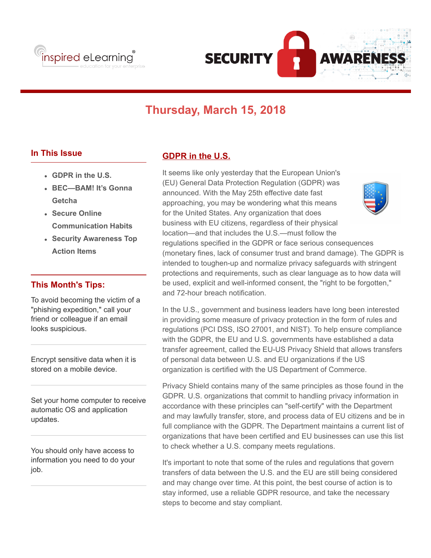



# **Thursday, March 15, 2018**

and 72-hour breach notification.

## **In This Issue**

- **GDPR in the U.S.**
- **BEC—BAM! It's Gonna Getcha**
- **Secure Online Communication Habits**
- **Security Awareness Top Action Items**

#### **This Month's Tips:**

To avoid becoming the victim of a "phishing expedition," call your friend or colleague if an email looks suspicious.

Encrypt sensitive data when it is stored on a mobile device.

Set your home computer to receive automatic OS and application updates.

You should only have access to information you need to do your job.

## **GDPR in the U.S.**

It seems like only yesterday that the European Union's (EU) General Data Protection Regulation (GDPR) was announced. With the May 25th effective date fast approaching, you may be wondering what this means for the United States. Any organization that does business with EU citizens, regardless of their physical location—and that includes the U.S.—must follow the regulations specified in the GDPR or face serious consequences (monetary fines, lack of consumer trust and brand damage). The GDPR is intended to toughen-up and normalize privacy safeguards with stringent protections and requirements, such as clear language as to how data will be used, explicit and well-informed consent, the "right to be forgotten,"

In the U.S., government and business leaders have long been interested in providing some measure of privacy protection in the form of rules and regulations (PCI DSS, ISO 27001, and NIST). To help ensure compliance with the GDPR, the EU and U.S. governments have established a data transfer agreement, called the EU-US Privacy Shield that allows transfers of personal data between U.S. and EU organizations if the US organization is certified with the US Department of Commerce.

Privacy Shield contains many of the same principles as those found in the GDPR. U.S. organizations that commit to handling privacy information in accordance with these principles can "self-certify" with the Department and may lawfully transfer, store, and process data of EU citizens and be in full compliance with the GDPR. The Department maintains a current list of organizations that have been certified and EU businesses can use this list to check whether a U.S. company meets regulations.

It's important to note that some of the rules and regulations that govern transfers of data between the U.S. and the EU are still being considered and may change over time. At this point, the best course of action is to stay informed, use a reliable GDPR resource, and take the necessary steps to become and stay compliant.

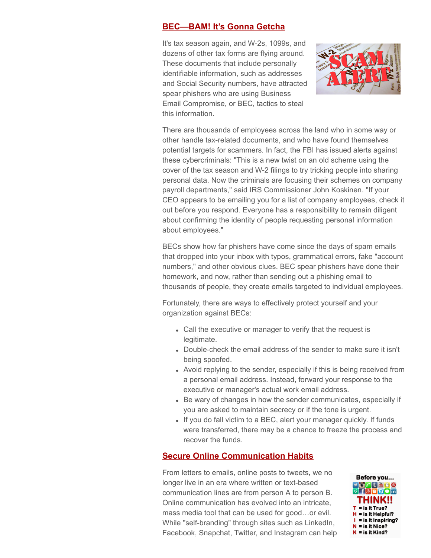#### **BEC—BAM! It's Gonna Getcha**

It's tax season again, and W-2s, 1099s, and dozens of other tax forms are flying around. These documents that include personally identifiable information, such as addresses and Social Security numbers, have attracted spear phishers who are using Business Email Compromise, or BEC, tactics to steal this information.



There are thousands of employees across the land who in some way or other handle tax-related documents, and who have found themselves potential targets for scammers. In fact, the FBI has issued alerts against these cybercriminals: "This is a new twist on an old scheme using the cover of the tax season and W-2 filings to try tricking people into sharing personal data. Now the criminals are focusing their schemes on company payroll departments," said IRS Commissioner John Koskinen. "If your CEO appears to be emailing you for a list of company employees, check it out before you respond. Everyone has a responsibility to remain diligent about confirming the identity of people requesting personal information about employees."

BECs show how far phishers have come since the days of spam emails that dropped into your inbox with typos, grammatical errors, fake "account numbers," and other obvious clues. BEC spear phishers have done their homework, and now, rather than sending out a phishing email to thousands of people, they create emails targeted to individual employees.

Fortunately, there are ways to effectively protect yourself and your organization against BECs:

- Call the executive or manager to verify that the request is legitimate.
- Double-check the email address of the sender to make sure it isn't being spoofed.
- Avoid replying to the sender, especially if this is being received from a personal email address. Instead, forward your response to the executive or manager's actual work email address.
- Be wary of changes in how the sender communicates, especially if you are asked to maintain secrecy or if the tone is urgent.
- If you do fall victim to a BEC, alert your manager quickly. If funds were transferred, there may be a chance to freeze the process and recover the funds.

# **Secure Online Communication Habits**

From letters to emails, online posts to tweets, we no longer live in an era where written or text-based communication lines are from person A to person B. Online communication has evolved into an intricate, mass media tool that can be used for good…or evil. While "self-branding" through sites such as LinkedIn, Facebook, Snapchat, Twitter, and Instagram can help

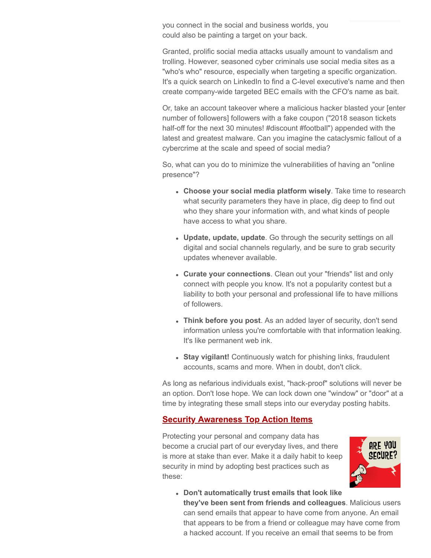you connect in the social and business worlds, you could also be painting a target on your back.

Granted, prolific social media attacks usually amount to vandalism and trolling. However, seasoned cyber criminals use social media sites as a "who's who" resource, especially when targeting a specific organization. It's a quick search on LinkedIn to find a C-level executive's name and then create company-wide targeted BEC emails with the CFO's name as bait.

Or, take an account takeover where a malicious hacker blasted your [enter number of followers] followers with a fake coupon ("2018 season tickets half-off for the next 30 minutes! #discount #football") appended with the latest and greatest malware. Can you imagine the cataclysmic fallout of a cybercrime at the scale and speed of social media?

So, what can you do to minimize the vulnerabilities of having an "online presence"?

- **Choose your social media platform wisely**. Take time to research what security parameters they have in place, dig deep to find out who they share your information with, and what kinds of people have access to what you share.
- **Update, update, update**. Go through the security settings on all digital and social channels regularly, and be sure to grab security updates whenever available.
- **Curate your connections**. Clean out your "friends" list and only connect with people you know. It's not a popularity contest but a liability to both your personal and professional life to have millions of followers.
- **Think before you post**. As an added layer of security, don't send information unless you're comfortable with that information leaking. It's like permanent web ink.
- **Stay vigilant!** Continuously watch for phishing links, fraudulent accounts, scams and more. When in doubt, don't click.

As long as nefarious individuals exist, "hack-proof" solutions will never be an option. Don't lose hope. We can lock down one "window" or "door" at a time by integrating these small steps into our everyday posting habits.

#### **Security Awareness Top Action Items**

Protecting your personal and company data has become a crucial part of our everyday lives, and there is more at stake than ever. Make it a daily habit to keep security in mind by adopting best practices such as these:



**Don't automatically trust emails that look like they've been sent from friends and colleagues**. Malicious users can send emails that appear to have come from anyone. An email that appears to be from a friend or colleague may have come from a hacked account. If you receive an email that seems to be from